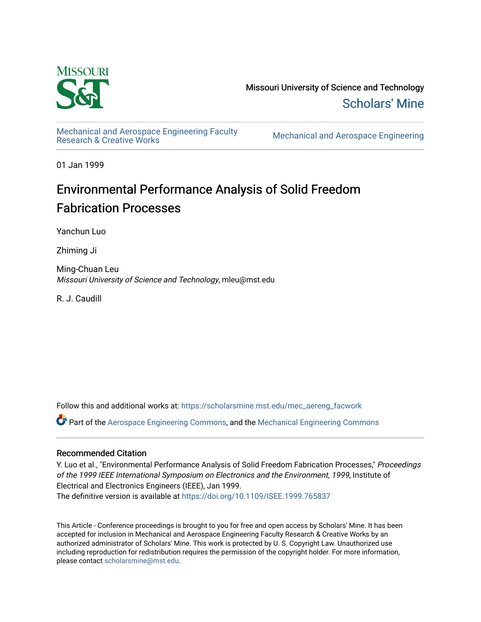

Missouri University of Science and Technology [Scholars' Mine](https://scholarsmine.mst.edu/) 

[Mechanical and Aerospace Engineering Faculty](https://scholarsmine.mst.edu/mec_aereng_facwork) 

**Mechanical and Aerospace Engineering** 

01 Jan 1999

# Environmental Performance Analysis of Solid Freedom Fabrication Processes

Yanchun Luo

Zhiming Ji

Ming-Chuan Leu Missouri University of Science and Technology, mleu@mst.edu

R. J. Caudill

Follow this and additional works at: [https://scholarsmine.mst.edu/mec\\_aereng\\_facwork](https://scholarsmine.mst.edu/mec_aereng_facwork?utm_source=scholarsmine.mst.edu%2Fmec_aereng_facwork%2F3331&utm_medium=PDF&utm_campaign=PDFCoverPages) 

Part of the [Aerospace Engineering Commons](http://network.bepress.com/hgg/discipline/218?utm_source=scholarsmine.mst.edu%2Fmec_aereng_facwork%2F3331&utm_medium=PDF&utm_campaign=PDFCoverPages), and the [Mechanical Engineering Commons](http://network.bepress.com/hgg/discipline/293?utm_source=scholarsmine.mst.edu%2Fmec_aereng_facwork%2F3331&utm_medium=PDF&utm_campaign=PDFCoverPages) 

# Recommended Citation

Y. Luo et al., "Environmental Performance Analysis of Solid Freedom Fabrication Processes," Proceedings of the 1999 IEEE International Symposium on Electronics and the Environment, 1999, Institute of Electrical and Electronics Engineers (IEEE), Jan 1999.

The definitive version is available at <https://doi.org/10.1109/ISEE.1999.765837>

This Article - Conference proceedings is brought to you for free and open access by Scholars' Mine. It has been accepted for inclusion in Mechanical and Aerospace Engineering Faculty Research & Creative Works by an authorized administrator of Scholars' Mine. This work is protected by U. S. Copyright Law. Unauthorized use including reproduction for redistribution requires the permission of the copyright holder. For more information, please contact [scholarsmine@mst.edu.](mailto:scholarsmine@mst.edu)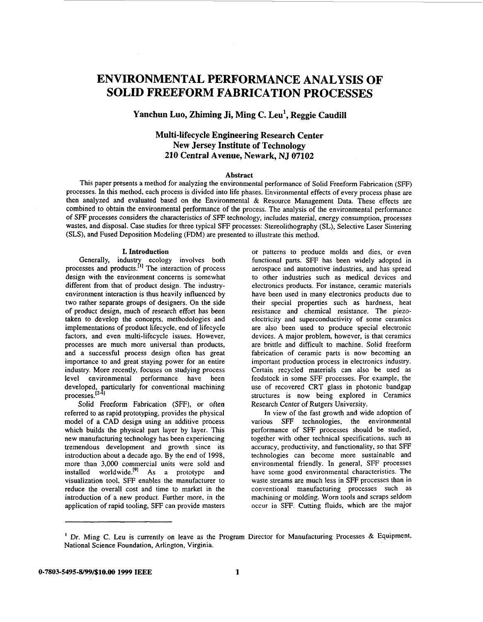# <span id="page-1-0"></span>**ENVIRONMENTAL PERFORMANCE ANALYSIS OF SOLID FREEFORM FABRICATION PROCESSES**

# **Yanchun Luo, Zhiming Ji, Ming C. Leu', Reggie Caudill**

# **Multi-lifecycle Engineering Research Center New Jersey Institute of Technology 210 Central Avenue, Newark, NJ 07102**

#### **Abstract**

This paper presents a method for analyzing the environmental performance of Solid Freeform Fabrication **(SFF)**  processes. In this method, each process is divided into life phases. Environmental effects of every process phase are then analyzed and evaluated based on the Environmental & Resource Management Data. These effects are combined to obtain the environmental performance of the process. The analysis of the environmental performance of **SFF** processes considers the characteristics *of* **SFF** technology, includes material, energy consumption, processes wastes, and disposal. Case studies for three typical **SFF** processes: Stereolithography **(SL),** Selective Laser Sintering (SLS), and Fused Deposition Modeling (FDM) are presented to illustrate this method.

#### **I. Introduction**

Generally, industry ecology involves both processes and products.<sup>[1]</sup> The interaction of process design with the environment concerns is somewhat different from that of product design. The industryenvironment interaction is thus heavily influenced by two rather separate groups of designers. On the side *of* product design, much **of** research effort has been taken to develop the concepts, methodologies and implementations of product lifecycle, end of lifecycle factors, and even multi-lifecycle issues. However, processes are much more universal than products, and a successful process design often has great importance to and great staying power for an entire industry, More recently, focuses on studying process level environmental performance have been developed, particularly for conventional machining processes.<sup>12-41</sup>

**Solid** Freeform Fabrication (SFF), **or often**  referred to **as** rapid prototyping, provides the physical model of a CAD design using an additive process which builds the physical part layer by layer. This new manufacturing technology has been experiencing tremendous development and growth since its introduction about a decade ago. By the end of 1998, more than 3,000 commercial units were sold and installed worldwide.<sup>[9]</sup> As a prototype and visualization tool, SFF enables the manufacturer to reduce the overall cost and time to market in the introduction of a new product. Further more, in the application of rapid tooling, **SFF** can provide masters or patterns to produce molds and dies, or even functional parts. SFF has been widely adopted in aerospace and automotive industries, and has spread to other industries such as medical devices and electronics products. For instance, ceramic materials have been used in many electronics products due to their special properties such **as** hardness, heat resistance and chemical resistance. The piezoelectricity and superconductivity **of** some ceramics are also been used to produce special electronic devices. **A** major problem, however, is that ceramics are brittle and difficult to machine. Solid freeform fabrication of ceramic parts is now becoming an important production process in electronics industry. Certain recycled materials can also be used **as**  feedstock in some SFF processes. For example, the use of recovered CRT glass in photonic bandgap structures is now being explored in Ceramics Research Center *of* Rutgers University.

In view of the fast growth and wide adoption of various SFF technologies, the environmental performance of **SFF** processes should be studied, together with other technical specifications, such as accuracy, productivity, and functionality, so that SFF technologies can become more sustainable and environmental friendly. In general, **SFF** processes have some good environmental characteristics. The waste streams are much less in **SFF** processes than in conventional manufacturing processes such as machining or molding. Worn tools and scraps seldom occur in SFF. Cutting fluids, which are the major

<sup>&</sup>lt;sup>1</sup> Dr. Ming C. Leu is currently on leave as the Program Director for Manufacturing Processes & Equipment, National Science Foundation, Arlington, Virginia.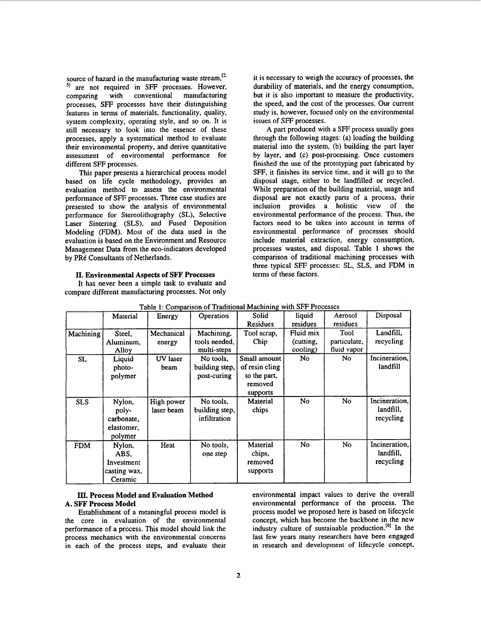<span id="page-2-0"></span>source of hazard in the manufacturing waste stream,<sup>121</sup> **<sup>51</sup>**are not required in **SFF** processes. However, comparing with conventional manufacturing processes, **SFF** processes have their distinguishing features in terms of materials, functionality, quality, system complexity, operating style, and so on. It is still necessary to look into the essence of these processes, apply a systematical method to evaluate their environmental property, and derive quantitative assessment of environmental performance for different SFF processes.

This paper presents a hierarchical process model based on life cycle methodology, provides an evaluation method to assess the environmental performance of **SFF** processes. Three case studies are presented to show the analysis of environmental performance for Stereolithography (SL), Selective Laser Sintering **(SLS),** and Fused Deposition Modeling **(FDM).** Most of the data used in the evaluation is based on the Environment and Resource Management Data from the eco-indicators developed by PRé Consultants of Netherlands.

## **11. Environmental Aspects of SFF Processes**

It has never been a simple task to evaluate and compare different manufacturing processes. Not only it is necessary to weigh the accuracy of processes, the durability of materials, and the energy consumption. but it is also important to measure the prodnctivity, the speed, and the cost of the processes. Our current study is, however, focused only on the environmental issues of **SFF** processes.

A part produced with a **SFF** process usually goes through the following stages: (a) loading the building material into the system, (b) building the part layer by layer, and (c) post-processing. Once customers finished the use of the prototyping part fabricated by SFF, it finishes its service time, and it will go to the disposal stage, either to be landfilled or recycled. While preparation of the building material, usage and disposal are not exactly parts of a process, their inclusion provides a holistic view of the environmental performance of the process. Thus, the factors need to be taken into account in terms of environmental performance of processes should include material extraction, energy consumption, processes wastes, and disposal. Table **1** shows the comparison of traditional machining processes with three typical SFF processes: SL, SLS, and FDM in terms of these factors.

| Table 1: Comparison of Traditional Machining with SFF Processes |              |            |                |                |           |                |               |
|-----------------------------------------------------------------|--------------|------------|----------------|----------------|-----------|----------------|---------------|
|                                                                 | Material     | Energy     | Operation      | Solid          | liquid    | Aerosol        | Disposal      |
|                                                                 |              |            |                | Residues       | residues  | residues       |               |
| Machining                                                       | Steel.       | Mechanical | Machining,     | Tool scrap,    | Fluid mix | Tool           | Landfill,     |
|                                                                 | Aluminum,    | energy     | tools needed.  | Chip           | (cutting, | particulate,   | recycling     |
|                                                                 | Alloy        |            | multi-steps    |                | cooling)  | fluid vapor    |               |
| SL.                                                             | Liquid       | UV laser   | No tools,      | Small amount   | No.       | No             | Incineration, |
|                                                                 | photo-       | beam       | building step, | of resin cling |           |                | landfill      |
|                                                                 | polymer      |            | post-curing    | to the part,   |           |                |               |
|                                                                 |              |            |                | removed        |           |                |               |
|                                                                 |              |            |                | supports       |           |                |               |
| <b>SLS</b>                                                      | Nylon,       | High power | No tools.      | Material       | No.       | No.            | Incineration. |
|                                                                 | poly-        | laser beam | building step, | chips          |           |                | landfill,     |
|                                                                 | carbonate,   |            | infiltration   |                |           |                | recycling     |
|                                                                 | elastomer.   |            |                |                |           |                |               |
|                                                                 | polymer      |            |                |                |           |                |               |
| <b>FDM</b>                                                      | Nylon,       | Heat       | No tools,      | Material       | <b>No</b> | N <sub>o</sub> | Incineration, |
|                                                                 | ABS.         |            | one step       | chips,         |           |                | landfill.     |
|                                                                 | Investment   |            |                | removed        |           |                | recycling     |
|                                                                 | casting wax, |            |                | supports       |           |                |               |
|                                                                 | Ceramic      |            |                |                |           |                |               |

| Table 1: Comparison of Traditional Machining with SFF Processes |  |
|-----------------------------------------------------------------|--|
|                                                                 |  |

the core in evaluation of the environmental concept, which has become the backbone in the new performance of a process. This model should link the industry culture of sustainable production.<sup>[6]</sup> In the process mechanics with the environmental concerns last few years many researchers have been engaged in each of the process steps, and evaluate their in research and development of lifecycle concept,

**III. Process Model and Evaluation Method** environmental impact values to derive the overall **A.** SFF **Process Model** environmental performance **of** the process. The Establishment of a meaningful process model is process model we proposed here is based on lifecycle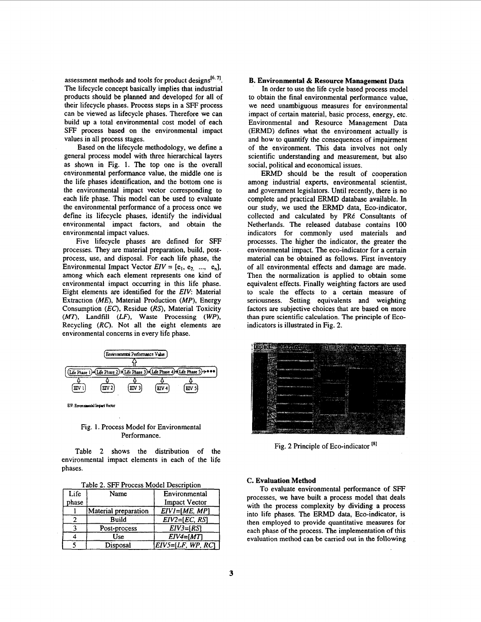<span id="page-3-0"></span>assessment methods and tools for product designs<sup>[6,7]</sup>. The lifecycle concept basically implies that industrial products should be planned and developed for all of their lifecycle phases. Process steps in a SFF process can be viewed **as** lifecycle phases. Therefore we can build up a total environmental cost model of each **SFF** process based on the environmental impact values in all process stages.

Based on the lifecycle methodology, we define a general process model with three hierarchical layers as shown in Fig. 1. The top one is the overall environmental performance value, the middle one is the life phases identification, and the bottom one is the environmental impact vector corresponding to each life phase. This model can be used to evaluate the environmental performance of a process once we define its lifecycle phases, identify the individual environmental impact factors, and obtain the environmental impact values.

Five lifecycle phases are defined for **SFF**  processes. They are material preparation, build, postprocess, use, and disposal. For each life phase, the Environmental Impact Vector  $EIV = [e_1, e_2, ..., e_n],$ among which each element represents one kind of environmental impact occurring in this life phase. Eight elements are identified for the *EIV*: Material Extraction *(ME),* Material Production *(MP),* Energy Consumption *(EC),* Residue *(RS),* Material Toxicity *(MT),* Landfill *(LF),* Waste Processing *(WP),*  Recycling (RC). Not all the eight elements are environmental concerns in every life phase. each element represents one kind of The<br>
impact occurring in this life phase. equi<br>
s are identified for the EIV: Material to<br>
E), Material Production (MP), Energy seric<br>
(EC), Residue (RS), Material Toxicity facts<br>
(LC),



EIV: Environmental Impact Vector

### Fig. **1.** Process Model for Environmental Performance.

Table 2 shows the distribution of the environmental impact elements in each of the life phases.

|  | Table 2. SFF Process Model Description |  |  |
|--|----------------------------------------|--|--|
|  |                                        |  |  |

| Life  | Name                 | Environmental        |
|-------|----------------------|----------------------|
| phase |                      | <b>Impact Vector</b> |
|       | Material preparation | $EIV = [ME, MP]$     |
|       | Build                | $EIV2=[EC, RS]$      |
|       | Post-process         | $EIV3 = [RS]$        |
|       | Use                  | $EIV4=[MT]$          |
|       | Disposal             | $EIV5=[LF, WP, RC]$  |

#### **B. Environmental** & **Resource Management Data**

In order to use the life cycle based process model to obtain the final environmental performance value, we need unambiguous measures for environmental impact of certain material, basic process, energy, etc. Environmental and Resource Management Data (ERMD) defines what the environment actually is and how to quantify the consequences of impairment of the environment. This data involves not only scientific understanding and measurement, but also social, political and economical issues.

ERMD should be the result of cooperation among industrial experts, environmental scientist, and government legislators. Until recently, there is no complete and practical **ERMD** database available. In our study, we used the ERMD data, Eco-indicator, collected and calculated by PRé Consultants of Netherlands. The released database contains 100 indicators for commonly used materials and processes. The higher the indicator, the greater the environmental impact. The eco-indicator for a certain material can be obtained as follows. First inventory of all environmental effects and damage are made. Then the normalization is applied **to** obtain some equivalent effects. Finally weighting factors are used to scale the effects to a certain measure of seriousness. Setting equivalents and weighting factors are subjective choices that are based on more than **pure** scientific calculation. The principle of **Eco**indicators is illustrated in Fig. 2.



Fig. 2 Principle of Eco-indicator<sup>[8]</sup>

#### **C. Evaluation Method**

To evaluate environmental performance of **SFF**  processes, we have built a process model that deals with the process complexity by dividing a process into life phases. The **ERMD** data, Eco-indicator, is then employed to provide quantitative measures for each phase of the process. The implementation of this evaluation method can be carried out in the following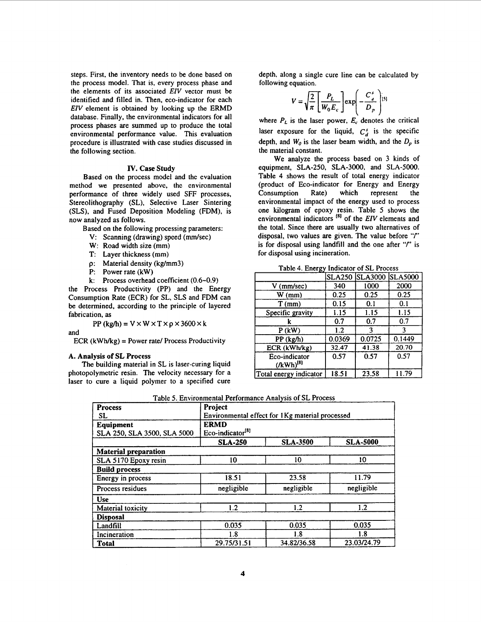<span id="page-4-0"></span>steps. First, the inventory needs to be done based on the process model. That is, every process phase and the elements of its associated *EZV* vector must be identified and filled in. Then, eco-indicator for each *EIV* element is obtained by looking up the ERMD database. Finally, the environmental indicators for all process phases are summed up to produce the total environmental performance value. This evaluation procedure is illustrated with case studies discussed in the following section.

#### **IV. Case Study**

Based on the process model and the evaluation method we presented above, the environmental performance of three widely used SFF processes, Stereolithography (SL), Selective Laser Sintering (SLS), and Fused Deposition Modeling (FDM), is now analyzed as follows.

Based on the following processing parameters:

- V: Scanning (drawing) speed (mm/sec)
- W: Road width size **(mm)**
- 
- T: Layer thickness (mm)<br>p: Material density (kg/n **Material density (kg/mm3)**
- P: Power rate (kW)
- **k:** Process overhead coefficient (0.6-0.9)

the Process Productivity (PP) and the Energy Consumption Rate (ECR) for SL, SLS and FDM can be determined. according to the principle of layered fabrication, **as** 

 $PP$  (kg/h) =  $V \times W \times T \times \rho \times 3600 \times k$ 

and

ECR (kWhkg) = Power rate/ Process Productivity

#### **A. Analysis of SL Process**

The building material in SL is laser-curing liquid photopolymetric resin. The velocity necessary for a laser to cure a liquid polymer *to* **a** specified cure depth, along a single cure line can be calculated by following equation.

$$
V = \sqrt{\frac{2}{\pi}} \left[ \frac{P_L}{W_0 E_c} \right] \exp \left( - \frac{C_d^s}{D_p} \right) [s]
$$

where  $P_L$  is the laser power,  $E_c$  denotes the critical laser exposure for the liquid,  $C_d^s$  is the specific depth, and  $W_0$  is the laser beam width, and the  $D_p$  is the material constant.

We analyze the process based on 3 kinds of equipment, SLA-250, SLA-3000, and SLA-5000. Table 4 shows the result of total energy indicator (product of Eco-indicator for Energy and Energy Rate) which Consumption represent the environmental impact of the energy used to process one kilogram of epoxy resin. Table 5 shows the environmental indicators <sup>[8]</sup> of the *EIV* elements and the total. Since there are usually two alternatives of disposal, two values are given. The value before "f" is for disposal using landfill and the one after "/" is for disposal using incineration.

| נטי                            |        |                       |                |  |  |
|--------------------------------|--------|-----------------------|----------------|--|--|
|                                |        | <b>SLA250 SLA3000</b> | <b>SLA5000</b> |  |  |
| $V$ (mm/sec)                   | 340    | 1000                  | 2000           |  |  |
| $W$ (mm)                       | 0.25   | 0.25                  | 0.25           |  |  |
| $T$ (mm)                       | 0.15   | 0.1                   | 0.1            |  |  |
| Specific gravity               | 1.15   | 1.15                  | 1.15           |  |  |
|                                | 0.7    | 0.7                   | 0.7            |  |  |
| $P$ (kW)                       | 1.2    | ٦                     |                |  |  |
| PP (kg/h)                      | 0.0369 | 0.0725                | 0.1449         |  |  |
| ECR (kWh/kg)                   | 32.47  | 41.38                 | 20.70          |  |  |
| Eco-indicator<br>$(KWh)^{[8]}$ | 0.57   | 0.57                  | 0.57           |  |  |
| Total energy indicator         | 18.51  | 23.58                 | 11.79          |  |  |

Table 4. Energy Indicator of SL Process

Table 5. Environmental Performance Analysis of SL Process

| <b>Process</b>              | Project                                         |                 |                 |  |  |  |
|-----------------------------|-------------------------------------------------|-----------------|-----------------|--|--|--|
| SL.                         | Environmental effect for 1Kg material processed |                 |                 |  |  |  |
| Equipment                   | <b>ERMD</b>                                     |                 |                 |  |  |  |
| SLA 250, SLA 3500, SLA 5000 | Eco-indicator <sup>[8]</sup>                    |                 |                 |  |  |  |
|                             | <b>SLA-250</b>                                  | <b>SLA-3500</b> | <b>SLA-5000</b> |  |  |  |
| <b>Material preparation</b> |                                                 |                 |                 |  |  |  |
| SLA 5170 Epoxy resin        | 10                                              | 10              | 10              |  |  |  |
| <b>Build process</b>        |                                                 |                 |                 |  |  |  |
| Energy in process           | 18.51                                           | 23.58           | 11.79           |  |  |  |
| Process residues            | negligible                                      | negligible      | negligible      |  |  |  |
| <b>Use</b>                  |                                                 |                 |                 |  |  |  |
| Material toxicity           | 1.2                                             | 1.2             | 1.2             |  |  |  |
| <b>Disposal</b>             |                                                 |                 |                 |  |  |  |
| Landfill                    | 0.035                                           | 0.035           | 0.035           |  |  |  |
| Incineration                | 1.8                                             | 1.8             | 1.8             |  |  |  |
| <b>Total</b>                | 29.75/31.51                                     | 34.82/36.58     | 23.03/24.79     |  |  |  |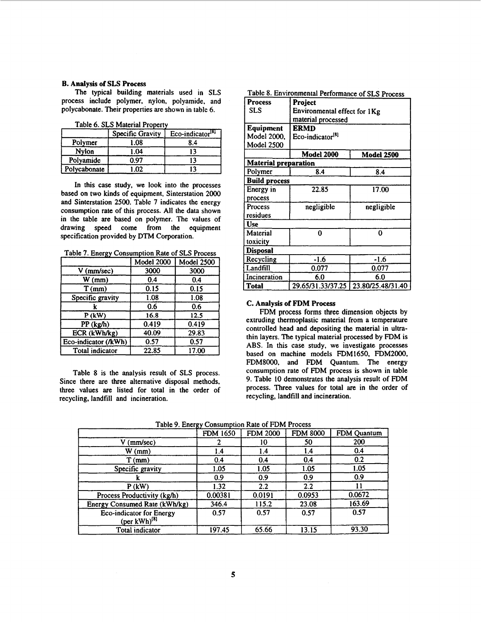### <span id="page-5-0"></span>**B. Analysis of SLS Process**

The typical building materials used in **SLS**  process include polymer, nylon, polyamide. and polycabonate. Their properties are shown in table 6.

|              | Specific Gravity  | $Eco-indicator[8]$ |
|--------------|-------------------|--------------------|
| Polymer      | 1.08              | 8.4                |
| Nylon        | 1.04              |                    |
| Polyamide    | 0.97              |                    |
| Polycabonate | 1.02 <sub>1</sub> |                    |

Table 6. **SLS** Material Property

In this case study, we look into the processes based on two kinds of equipment, Sinterstation **2000**  and Sinterstation **2500.** Table **7** indicates the energy consumption rate of this process. All the data shown in the table are based on polymer. The values of drawing speed come from the equipment specification provided by **DTM** Corporation.

Table 7. Energy Consumption Rate of SLS Process

|                      | $\overline{\text{Model}}$ 2000 | Model 2500 |
|----------------------|--------------------------------|------------|
| $V$ (mm/sec)         | 3000                           | 3000       |
| $W$ (mm)             | 0.4                            | 0.4        |
| $T$ (mm)             | 0.15                           | 0.15       |
| Specific gravity     | 1.08                           | 1.08       |
|                      | 0.6                            | 0.6        |
| $P$ (kW)             | 16.8                           | 12.5       |
| PP (kg/h)            | 0.419                          | 0.419      |
| ECR (kWh/kg)         | 40.09                          | 29.83      |
| Eco-indicator (/kWh) | 0.57                           | 0.57       |
| Total indicator      | 22.85                          | 17.00      |

Table **8** is the analysis result of **SLS** process. Since there are three alternative disposal methods, three values are listed for total in the order of recycling, landfill and incineration.

Table 8. Environmental Performance of SLS Process

| Process                     | Project                      |                   |  |  |  |
|-----------------------------|------------------------------|-------------------|--|--|--|
| SLS                         | Environmental effect for 1Kg |                   |  |  |  |
|                             | material processed           |                   |  |  |  |
| <b>Equipment</b>            | ERMD                         |                   |  |  |  |
| Model 2000.                 | Eco-indicator <sup>[8]</sup> |                   |  |  |  |
| <b>Model 2500</b>           |                              |                   |  |  |  |
|                             | <b>Model 2000</b>            | <b>Model 2500</b> |  |  |  |
| <b>Material preparation</b> |                              |                   |  |  |  |
| Polymer                     | 8.4                          | 8.4               |  |  |  |
| <b>Build process</b>        |                              |                   |  |  |  |
| Energy in                   | 22.85                        | 17.00             |  |  |  |
| process                     |                              |                   |  |  |  |
| Process                     | negligible                   | negligible        |  |  |  |
| residues                    |                              |                   |  |  |  |
| Use                         |                              |                   |  |  |  |
| Material                    | 0                            | 0                 |  |  |  |
| toxicity                    |                              |                   |  |  |  |
| <b>Disposal</b>             |                              |                   |  |  |  |
| Recycling                   | -1.6                         | $-1.6$            |  |  |  |
| Landfill                    | 0.077                        | 0.077             |  |  |  |
| Incineration                | 6.0                          | 6.0               |  |  |  |
| <b>Total</b>                | 29.65/31.33/37.25            | 23.80/25.48/31.40 |  |  |  |

#### **C. Analysis of FDM Process**

**FDM** process forms three dimension objects by extruding thermoplastic material from a temperature controlled head and depositing the material in ultrathin layers. The typical material processed by FDM is ABS. In this case study, we investigate processes based on machine models FDM1650, **FDM2000.**  FDM8000, and **FDM** Quantum. The energy consumption rate of FDM process is shown in table **9.** Table **10** demonstrates the analysis result of FDM process. Three values for total are in the order of recycling, landfill and incineration.

Table 9 Energy Consumption Rate of FDM Process

|                                                      | Tubic 2. Enorgy Consumption rule of 1 Em 1100055 |                 |                 |             |
|------------------------------------------------------|--------------------------------------------------|-----------------|-----------------|-------------|
|                                                      | <b>FDM 1650</b>                                  | <b>FDM 2000</b> | <b>FDM 8000</b> | FDM Quantum |
| V (mm/sec)                                           |                                                  | 10              | 50              | 200         |
| $W$ (mm)                                             | 1.4                                              | 1.4             | 4.ا             | 0.4         |
| $T$ (mm)                                             | 0.4                                              | 0.4             | 0.4             | 0.2         |
| Specific gravity                                     | 1.05                                             | 1.05            | 1.05            | 1.05        |
|                                                      | 0.9                                              | 0.9             | 0.9             | 0.9         |
| $P$ (kW)                                             | 1.32                                             | 2.2             | 2.2             |             |
| Process Productivity (kg/h)                          | 0.00381                                          | 0.0191          | 0.0953          | 0.0672      |
| Energy Consumed Rate (kWh/kg)                        | 346.4                                            | 115.2           | 23.08           | 163.69      |
| Eco-indicator for Energy<br>$(\text{per kWh})^{[8]}$ | 0.57                                             | 0.57            | 0.57            | 0.57        |
| Total indicator                                      | 197.45                                           | 65.66           | 13.15           | 93.30       |